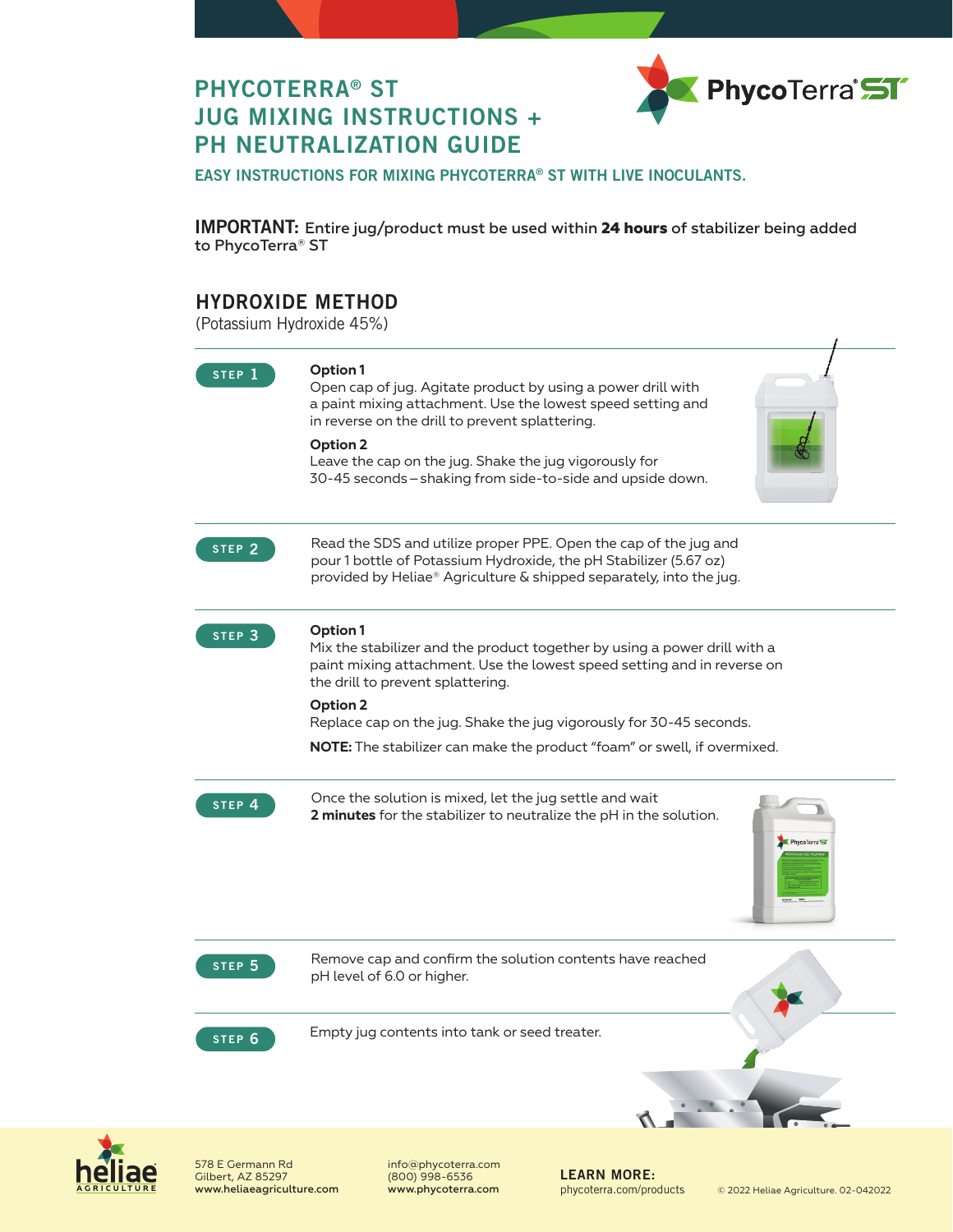

# PHYCOTERRA® ST JUG MIXING INSTRUCTIONS + PH NEUTRALIZATION GUIDE

EASY INSTRUCTIONS FOR MIXING PHYCOTERRA® ST WITH LIVE INOCULANTS.

IMPORTANT: Entire jug/product must be used within **24 hours** of stabilizer being added to PhycoTerra® ST

## HYDROXIDE METHOD

(Potassium Hydroxide 45%)

| STEP <sub>1</sub> | Option 1<br>Open cap of jug. Agitate product by using a power drill with<br>a paint mixing attachment. Use the lowest speed setting and<br>in reverse on the drill to prevent splattering.<br>Option 2<br>Leave the cap on the jug. Shake the jug vigorously for<br>30-45 seconds - shaking from side-to-side and upside down.                                              |
|-------------------|-----------------------------------------------------------------------------------------------------------------------------------------------------------------------------------------------------------------------------------------------------------------------------------------------------------------------------------------------------------------------------|
| STEP <sub>2</sub> | Read the SDS and utilize proper PPE. Open the cap of the jug and<br>pour 1 bottle of Potassium Hydroxide, the pH Stabilizer (5.67 oz)<br>provided by Heliae® Agriculture & shipped separately, into the jug.                                                                                                                                                                |
| STEP <sub>3</sub> | Option 1<br>Mix the stabilizer and the product together by using a power drill with a<br>paint mixing attachment. Use the lowest speed setting and in reverse on<br>the drill to prevent splattering.<br>Option 2<br>Replace cap on the jug. Shake the jug vigorously for 30-45 seconds.<br><b>NOTE:</b> The stabilizer can make the product "foam" or swell, if overmixed. |
| STEP <sub>4</sub> | Once the solution is mixed, let the jug settle and wait<br>2 minutes for the stabilizer to neutralize the pH in the solution.<br>PhycoTerra                                                                                                                                                                                                                                 |
| STEP <sub>5</sub> | Remove cap and confirm the solution contents have reached<br>pH level of 6.0 or higher.                                                                                                                                                                                                                                                                                     |
| STEP <sub>6</sub> | Empty jug contents into tank or seed treater.                                                                                                                                                                                                                                                                                                                               |
|                   |                                                                                                                                                                                                                                                                                                                                                                             |



578 E Germann Rd Gilbert, AZ 85297 www.heliaeagriculture.com info@phycoterra.com (800) 998-6536

LEARN MORE: phycoterra.com/products